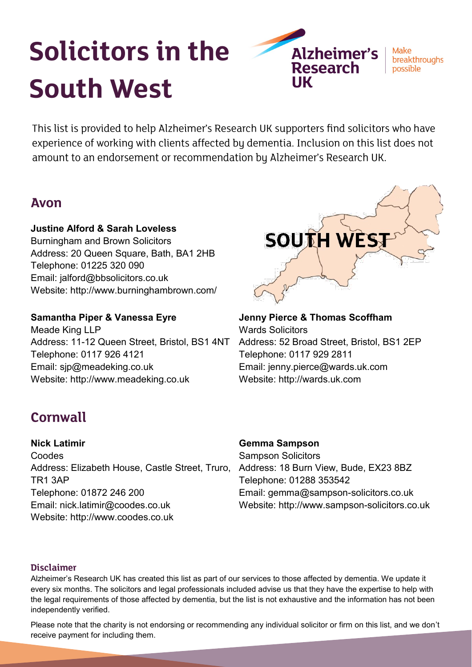# **Solicitors in the South West**

**Alzheimer's Research** 

Make breakthroughs possible

This list is provided to help Alzheimer's Research UK supporters find solicitors who have experience of working with clients affected by dementia. Inclusion on this list does not amount to an endorsement or recommendation by Alzheimer's Research UK.

# **Avon**

## **Justine Alford & Sarah Loveless**

Burningham and Brown Solicitors Address: 20 Queen Square, Bath, BA1 2HB Telephone: 01225 320 090 Email: jalford@bbsolicitors.co.uk Website: http://www.burninghambrown.com/

**Samantha Piper & Vanessa Eyre** Meade King LLP Address: 11-12 Queen Street, Bristol, BS1 4NT Telephone: 0117 926 4121 Email: sjp@meadeking.co.uk Website: http://www.meadeking.co.uk



### **Jenny Pierce & Thomas Scoffham** Wards Solicitors Address: 52 Broad Street, Bristol, BS1 2EP Telephone: 0117 929 2811 Email: jenny.pierce@wards.uk.com Website: http://wards.uk.com

# **Cornwall**

**Nick Latimir**  Coodes Address: Elizabeth House, Castle Street, Truro, TR1 3AP Telephone: 01872 246 200 Email: nick.latimir@coodes.co.uk Website: http://www.coodes.co.uk

# **Gemma Sampson**

Sampson Solicitors Address: 18 Burn View, Bude, EX23 8BZ Telephone: 01288 353542 Email: gemma@sampson-solicitors.co.uk Website: http://www.sampson-solicitors.co.uk

#### **Disclaimer**

Alzheimer's Research UK has created this list as part of our services to those affected by dementia. We update it every six months. The solicitors and legal professionals included advise us that they have the expertise to help with the legal requirements of those affected by dementia, but the list is not exhaustive and the information has not been independently verified.

Please note that the charity is not endorsing or recommending any individual solicitor or firm on this list, and we don't receive payment for including them.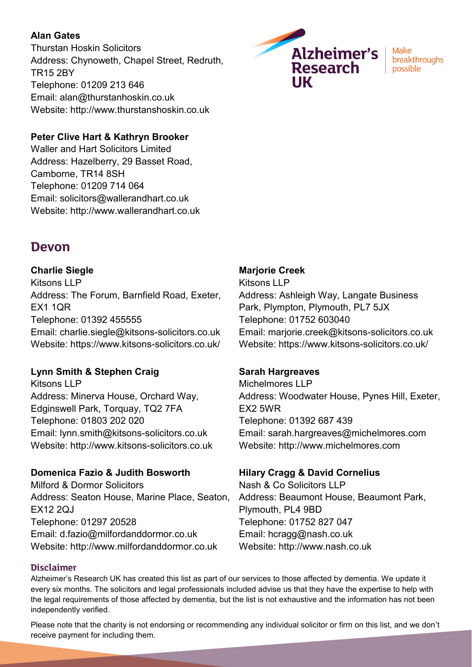### **Alan Gates**

Thurstan Hoskin Solicitors Address: Chynoweth, Chapel Street, Redruth, TR15 2BY Telephone: 01209 213 646 Email: alan@thurstanhoskin.co.uk Website: http://www.thurstanshoskin.co.uk

### **Peter Clive Hart & Kathryn Brooker**

Waller and Hart Solicitors Limited Address: Hazelberry, 29 Basset Road, Camborne, TR14 8SH Telephone: 01209 714 064 Email: solicitors@wallerandhart.co.uk Website: http://www.wallerandhart.co.uk

# **Devon**

### **Charlie Siegle**

Kitsons LLP Address: The Forum, Barnfield Road, Exeter, EX1 1QR Telephone: 01392 455555 Email: charlie.siegle@kitsons-solicitors.co.uk Website: https://www.kitsons-solicitors.co.uk/

## **Lynn Smith & Stephen Craig**

Kitsons LLP Address: Minerva House, Orchard Way, Edginswell Park, Torquay, TQ2 7FA Telephone: 01803 202 020 Email: lynn.smith@kitsons-solicitors.co.uk Website: http://www.kitsons-solicitors.co.uk

## **Domenica Fazio & Judith Bosworth**

Milford & Dormor Solicitors Address: Seaton House, Marine Place, Seaton, EX12 2QJ Telephone: 01297 20528 Email: d.fazio@milfordanddormor.co.uk Website: http://www.milfordanddormor.co.uk

## **Marjorie Creek**

Kitsons LLP Address: Ashleigh Way, Langate Business Park, Plympton, Plymouth, PL7 5JX Telephone: 01752 603040 Email: marjorie.creek@kitsons-solicitors.co.uk Website: https://www.kitsons-solicitors.co.uk/

#### **Sarah Hargreaves**

Michelmores LLP Address: Woodwater House, Pynes Hill, Exeter, EX2 5WR Telephone: 01392 687 439 Email: sarah.hargreaves@michelmores.com Website: http://www.michelmores.com

#### **Hilary Cragg & David Cornelius**

Nash & Co Solicitors LLP Address: Beaumont House, Beaumont Park, Plymouth, PL4 9BD Telephone: 01752 827 047 Email: hcragg@nash.co.uk Website: http://www.nash.co.uk

#### **Disclaimer**

Alzheimer's Research UK has created this list as part of our services to those affected by dementia. We update it every six months. The solicitors and legal professionals included advise us that they have the expertise to help with the legal requirements of those affected by dementia, but the list is not exhaustive and the information has not been independently verified.

Please note that the charity is not endorsing or recommending any individual solicitor or firm on this list, and we don't receive payment for including them.



Make breakthroughs possible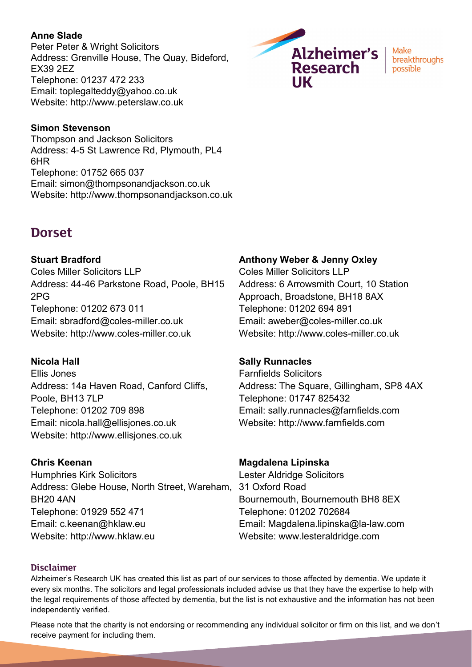#### **Anne Slade**

Peter Peter & Wright Solicitors Address: Grenville House, The Quay, Bideford, EX39 2EZ Telephone: 01237 472 233 Email: toplegalteddy@yahoo.co.uk Website: http://www.peterslaw.co.uk



Make breakthroughs possible

#### **Simon Stevenson**

Thompson and Jackson Solicitors Address: 4-5 St Lawrence Rd, Plymouth, PL4 6HR Telephone: 01752 665 037 Email: simon@thompsonandjackson.co.uk Website: http://www.thompsonandjackson.co.uk

# **Dorset**

**Stuart Bradford** Coles Miller Solicitors LLP Address: 44-46 Parkstone Road, Poole, BH15 2PG Telephone: 01202 673 011 Email: sbradford@coles-miller.co.uk Website: http://www.coles-miller.co.uk

#### **Nicola Hall**

Ellis Jones Address: 14a Haven Road, Canford Cliffs, Poole, BH13 7LP Telephone: 01202 709 898 Email: nicola.hall@ellisjones.co.uk Website: http://www.ellisjones.co.uk

#### **Chris Keenan**

Humphries Kirk Solicitors Address: Glebe House, North Street, Wareham, BH20 4AN Telephone: 01929 552 471 Email: c.keenan@hklaw.eu Website: http://www.hklaw.eu

#### **Anthony Weber & Jenny Oxley**

Coles Miller Solicitors LLP Address: 6 Arrowsmith Court, 10 Station Approach, Broadstone, BH18 8AX Telephone: 01202 694 891 Email: aweber@coles-miller.co.uk Website: http://www.coles-miller.co.uk

#### **Sally Runnacles**

Farnfields Solicitors Address: The Square, Gillingham, SP8 4AX Telephone: 01747 825432 Email: sally.runnacles@farnfields.com Website: http://www.farnfields.com

#### **Magdalena Lipinska**

Lester Aldridge Solicitors 31 Oxford Road Bournemouth, Bournemouth BH8 8EX Telephone: 01202 702684 Email: Magdalena.lipinska@la-law.com Website: www.lesteraldridge.com

#### **Disclaimer**

Alzheimer's Research UK has created this list as part of our services to those affected by dementia. We update it every six months. The solicitors and legal professionals included advise us that they have the expertise to help with the legal requirements of those affected by dementia, but the list is not exhaustive and the information has not been independently verified.

Please note that the charity is not endorsing or recommending any individual solicitor or firm on this list, and we don't receive payment for including them.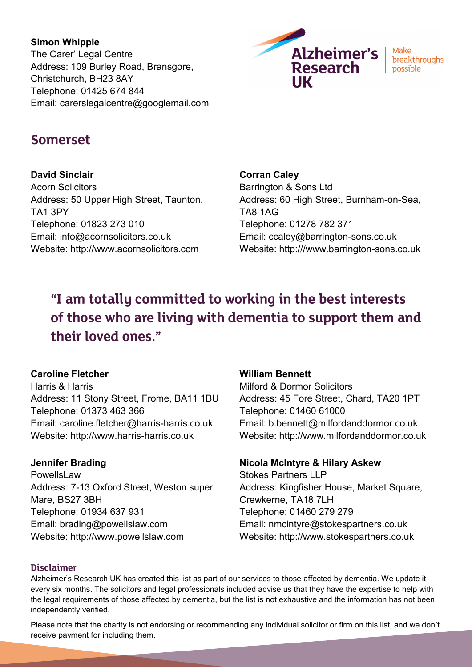**Simon Whipple** The Carer' Legal Centre Address: 109 Burley Road, Bransgore, Christchurch, BH23 8AY Telephone: 01425 674 844 Email: carerslegalcentre@googlemail.com



Make breakthroughs possible

# **Somerset**

**David Sinclair**

Acorn Solicitors Address: 50 Upper High Street, Taunton, TA1 3PY Telephone: 01823 273 010 Email: info@acornsolicitors.co.uk Website: http://www.acornsolicitors.com

**Corran Caley**

Barrington & Sons Ltd Address: 60 High Street, Burnham-on-Sea, TA8 1AG Telephone: 01278 782 371 Email: ccaley@barrington-sons.co.uk Website: http:///www.barrington-sons.co.uk

# "I am totally committed to working in the best interests of those who are living with dementia to support them and their loved ones."

## **Caroline Fletcher**

Harris & Harris Address: 11 Stony Street, Frome, BA11 1BU Telephone: 01373 463 366 Email: caroline.fletcher@harris-harris.co.uk Website: http://www.harris-harris.co.uk

## **Jennifer Brading**

**PowellsLaw** Address: 7-13 Oxford Street, Weston super Mare, BS27 3BH Telephone: 01934 637 931 Email: brading@powellslaw.com Website: http://www.powellslaw.com

#### **William Bennett**

Milford & Dormor Solicitors Address: 45 Fore Street, Chard, TA20 1PT Telephone: 01460 61000 Email: b.bennett@milfordanddormor.co.uk Website: http://www.milfordanddormor.co.uk

## **Nicola McIntyre & Hilary Askew**

Stokes Partners LLP Address: Kingfisher House, Market Square, Crewkerne, TA18 7LH Telephone: 01460 279 279 Email: nmcintyre@stokespartners.co.uk Website: http://www.stokespartners.co.uk

#### **Disclaimer**

Alzheimer's Research UK has created this list as part of our services to those affected by dementia. We update it every six months. The solicitors and legal professionals included advise us that they have the expertise to help with the legal requirements of those affected by dementia, but the list is not exhaustive and the information has not been independently verified.

Please note that the charity is not endorsing or recommending any individual solicitor or firm on this list, and we don't receive payment for including them.